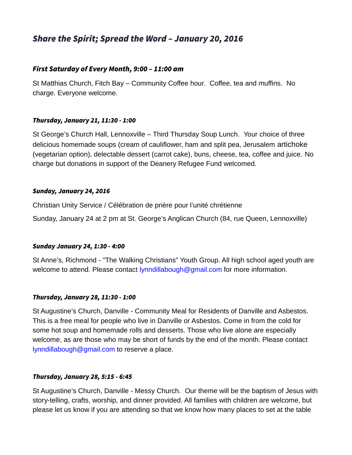# Share the Spirit; Spread the Word – January 20, 2016

# First Saturday of Every Month, 9:00 – 11:00 am

St Matthias Church, Fitch Bay – Community Coffee hour. Coffee, tea and muffins. No charge. Everyone welcome.

#### Thursday, January 21, 11:30 - 1:00

St George's Church Hall, Lennoxville – Third Thursday Soup Lunch. Your choice of three delicious homemade soups (cream of cauliflower, ham and split pea, Jerusalem artichoke (vegetarian option), delectable dessert (carrot cake), buns, cheese, tea, coffee and juice. No charge but donations in support of the Deanery Refugee Fund welcomed.

#### Sunday, January 24, 2016

Christian Unity Service / Célébration de prière pour l'unité chrétienne

Sunday, January 24 at 2 pm at St. George's Anglican Church (84, rue Queen, Lennoxville)

## Sunday January 24, 1:30 - 4:00

St Anne's, Richmond - "The Walking Christians" Youth Group. All high school aged youth are welcome to attend. Please contact [lynndillabough@gmail.com](mailto:lynndillabough@gmail.com) for more information.

## Thursday, January 28, 11:30 - 1:00

St Augustine's Church, Danville - Community Meal for Residents of Danville and Asbestos. This is a free meal for people who live in Danville or Asbestos. Come in from the cold for some hot soup and homemade rolls and desserts. Those who live alone are especially welcome, as are those who may be short of funds by the end of the month. Please contact [lynndillabough@gmail.com](mailto:lynndillabough@gmail.com) to reserve a place.

## Thursday, January 28, 5:15 - 6:45

St Augustine's Church, Danville - Messy Church. Our theme will be the baptism of Jesus with story-telling, crafts, worship, and dinner provided. All families with children are welcome, but please let us know if you are attending so that we know how many places to set at the table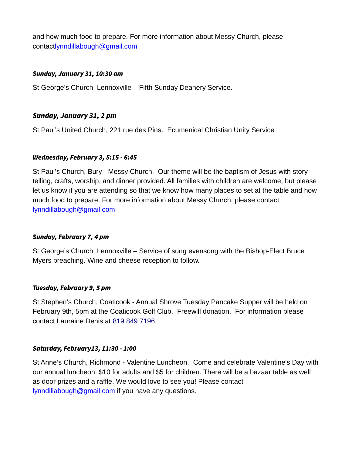and how much food to prepare. For more information about Messy Church, please contac[tlynndillabough@gmail.com](mailto:lynndillabough@gmail.com)

#### Sunday, January 31, 10:30 am

St George's Church, Lennoxville – Fifth Sunday Deanery Service.

# Sunday, January 31, 2 pm

St Paul's United Church, 221 rue des Pins. Ecumenical Christian Unity Service

## Wednesday, February 3, 5:15 - 6:45

St Paul's Church, Bury - Messy Church. Our theme will be the baptism of Jesus with storytelling, crafts, worship, and dinner provided. All families with children are welcome, but please let us know if you are attending so that we know how many places to set at the table and how much food to prepare. For more information about Messy Church, please contact [lynndillabough@gmail.com](mailto:lynndillabough@gmail.com)

## Sunday, February 7, 4 pm

St George's Church, Lennoxville – Service of sung evensong with the Bishop-Elect Bruce Myers preaching. Wine and cheese reception to follow.

## Tuesday, February 9, 5 pm

St Stephen's Church, Coaticook - Annual Shrove Tuesday Pancake Supper will be held on February 9th, 5pm at the Coaticook Golf Club. Freewill donation. For information please contact Lauraine Denis at [819 849 7196](tel:819%20849%207196)

## Saturday, February13, 11:30 - 1:00

St Anne's Church, Richmond - Valentine Luncheon. Come and celebrate Valentine's Day with our annual luncheon. \$10 for adults and \$5 for children. There will be a bazaar table as well as door prizes and a raffle. We would love to see you! Please contact [lynndillabough@gmail.com](mailto:lynndillabough@gmail.com) if you have any questions.